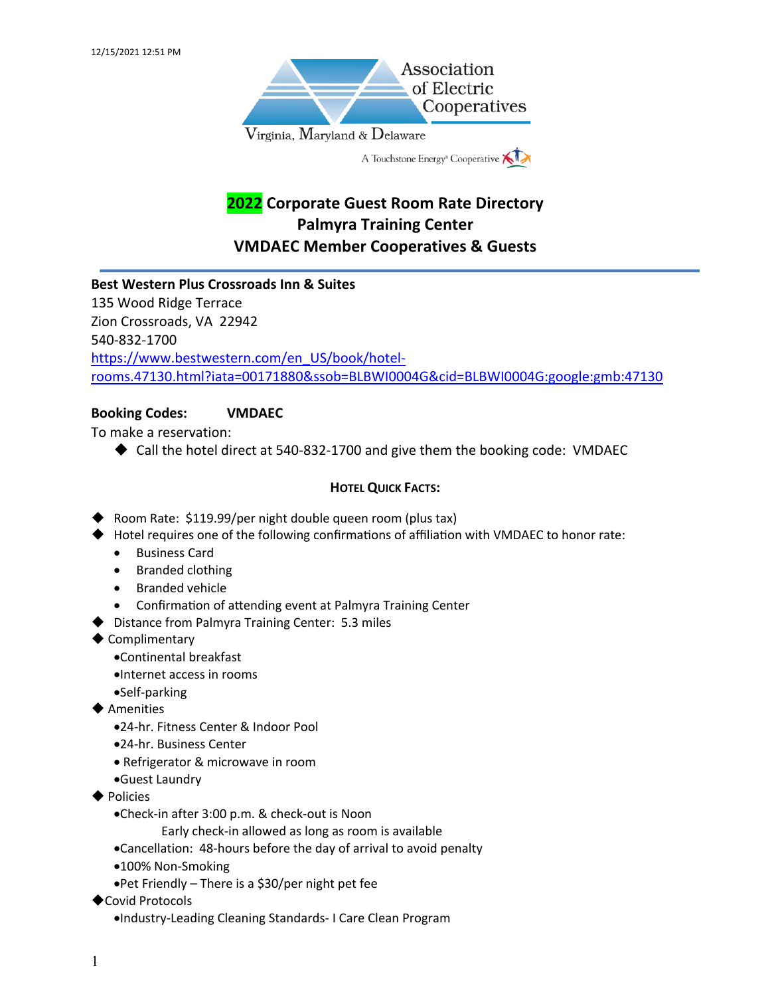

# **2022 Corporate Guest Room Rate Directory Palmyra Training Center VMDAEC Member Cooperatives & Guests**

# **Best Western Plus Crossroads Inn & Suites** 135 Wood Ridge Terrace Zion Crossroads, VA 22942 540-832-1700 https://www.bestwestern.com/en\_US/book/hotelrooms.47130.html?iata=00171880&ssob=BLBWI0004G&cid=BLBWI0004G:google:gmb:47130

## **Booking Codes: VMDAEC**

To make a reservation:

 $\triangle$  Call the hotel direct at 540-832-1700 and give them the booking code: VMDAEC

- Room Rate:  $$119.99/per$  night double queen room (plus tax)
- $\blacklozenge$  Hotel requires one of the following confirmations of affiliation with VMDAEC to honor rate:
	- Business Card
	- Branded clothing
	- Branded vehicle
	- Confirmation of attending event at Palmyra Training Center
- $\blacktriangleright$  Distance from Palmyra Training Center: 5.3 miles
- $\blacklozenge$  Complimentary
	- •Continental breakfast
	- •Internet access in rooms
	- •Self-parking
- $\blacklozenge$  Amenities
	- •24-hr. Fitness Center & Indoor Pool
	- •24-hr. Business Center
	- Refrigerator & microwave in room
	- •Guest Laundry
- $\blacktriangleright$  Policies
	- •Check-in after 3:00 p.m. & check-out is Noon
		- Early check-in allowed as long as room is available
	- •Cancellation: 48-hours before the day of arrival to avoid penalty
	- •100% Non-Smoking
	- •Pet Friendly There is a \$30/per night pet fee
- ◆ Covid Protocols
	- •Industry-Leading Cleaning Standards- I Care Clean Program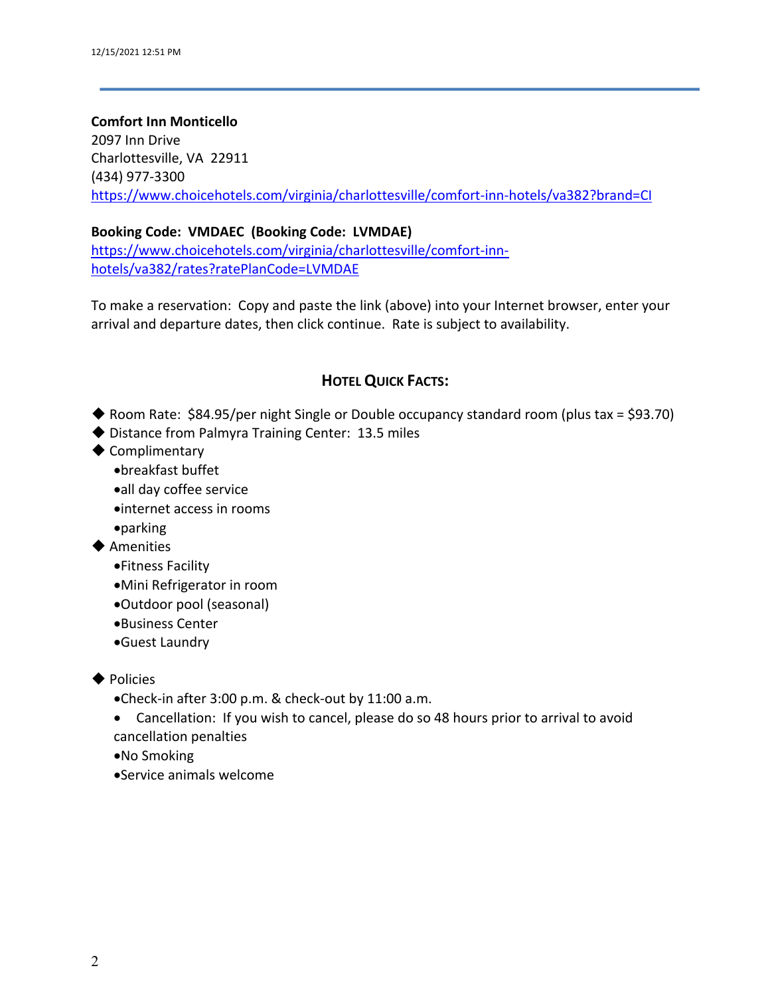# **Comfort Inn Monticello** 2097 Inn Drive Charlottesville, VA 22911 (434) 977-3300 https://www.choicehotels.com/virginia/charlottesville/comfort-inn-hotels/va382?brand=CI

## **Booking Code: VMDAEC (Booking Code: LVMDAE)**

https://www.choicehotels.com/virginia/charlottesville/comfort-innhotels/va382/rates?ratePlanCode=LVMDAE

To make a reservation: Copy and paste the link (above) into your Internet browser, enter your arrival and departure dates, then click continue. Rate is subject to availability.

- $\blacklozenge$  Room Rate: \$84.95/per night Single or Double occupancy standard room (plus tax = \$93.70)
- $\blacklozenge$  Distance from Palmyra Training Center: 13.5 miles
- $\blacklozenge$  Complimentary
	- •breakfast buffet
	- •all day coffee service
	- •internet access in rooms
	- •parking
- $\blacklozenge$  Amenities
	- •Fitness Facility
	- •Mini Refrigerator in room
	- •Outdoor pool (seasonal)
	- •Business Center
	- •Guest Laundry
- $\blacklozenge$  Policies
	- •Check-in after 3:00 p.m. & check-out by 11:00 a.m.
	- Cancellation: If you wish to cancel, please do so 48 hours prior to arrival to avoid cancellation penalties
	- •No Smoking
	- •Service animals welcome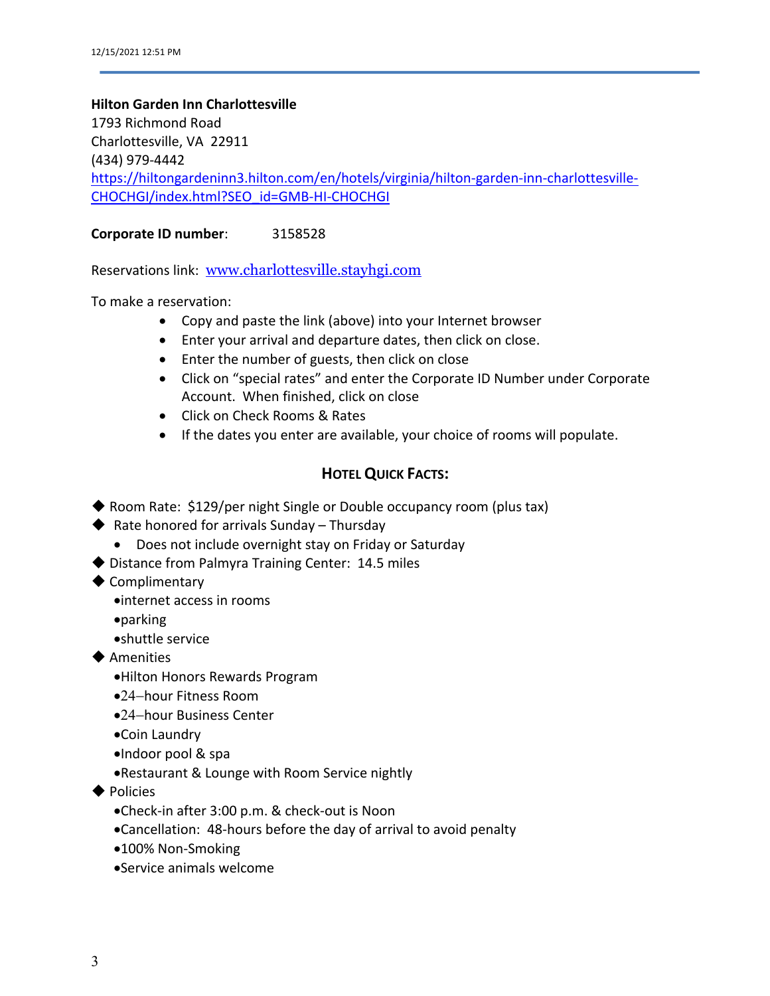#### **Hilton Garden Inn Charlottesville**

1793 Richmond Road Charlottesville, VA 22911 (434) 979-4442 https://hiltongardeninn3.hilton.com/en/hotels/virginia/hilton-garden-inn-charlottesville-CHOCHGI/index.html?SEO\_id=GMB-HI-CHOCHGI

**Corporate ID number**: 3158528

Reservations link: www.charlottesville.stayhgi.com

To make a reservation:

- Copy and paste the link (above) into your Internet browser
- Enter your arrival and departure dates, then click on close.
- Enter the number of guests, then click on close
- Click on "special rates" and enter the Corporate ID Number under Corporate Account. When finished, click on close
- Click on Check Rooms & Rates
- If the dates you enter are available, your choice of rooms will populate.

- $\blacklozenge$  Room Rate: \$129/per night Single or Double occupancy room (plus tax)
- $\blacklozenge$  Rate honored for arrivals Sunday Thursday
	- Does not include overnight stay on Friday or Saturday
- $\blacklozenge$  Distance from Palmyra Training Center: 14.5 miles
- $\blacklozenge$  Complimentary
	- •internet access in rooms
- •parking
	- •shuttle service
- $\blacklozenge$  Amenities
	- •Hilton Honors Rewards Program
	- •24-hour Fitness Room
	- •24-hour Business Center
	- •Coin Laundry
	- •Indoor pool & spa
	- •Restaurant & Lounge with Room Service nightly
- $\blacklozenge$  Policies
	- •Check-in after 3:00 p.m. & check-out is Noon
	- •Cancellation: 48-hours before the day of arrival to avoid penalty
	- •100% Non-Smoking
	- •Service animals welcome